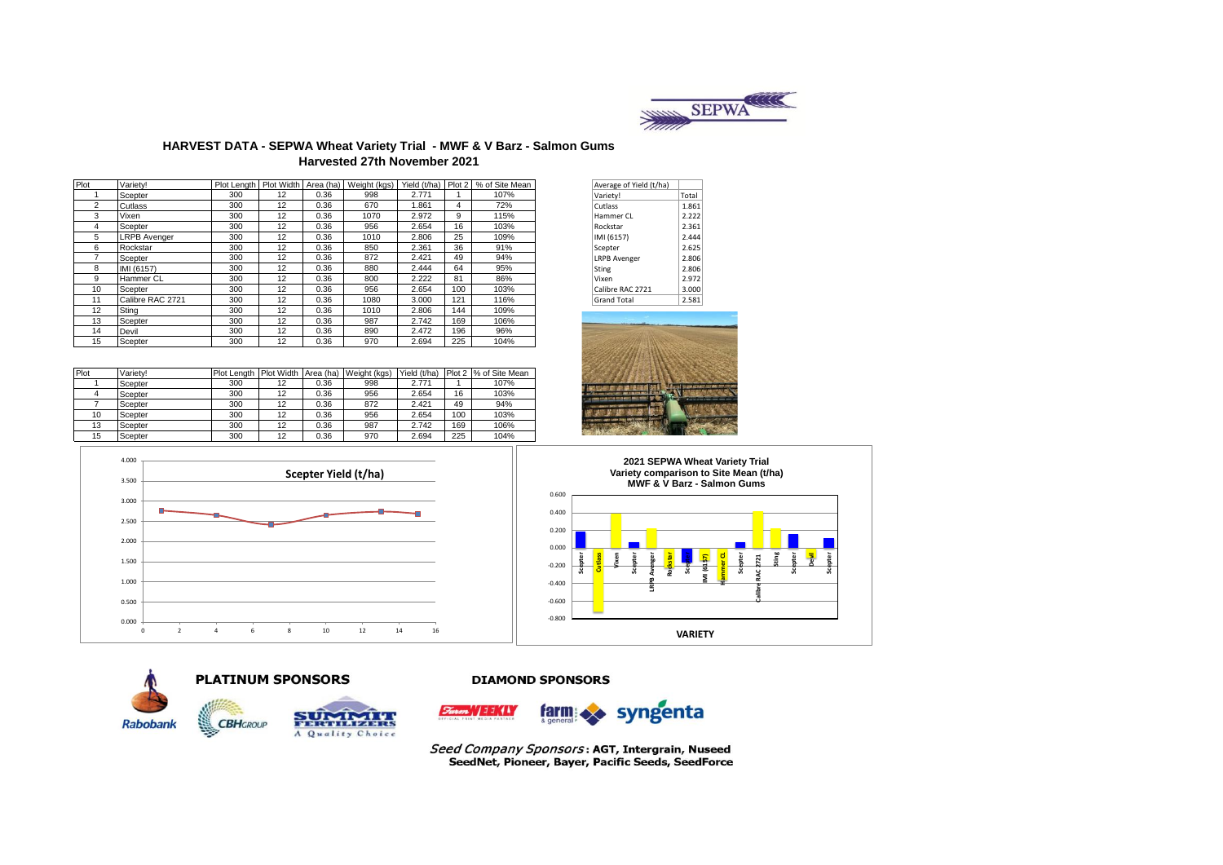

#### **HARVEST DATA - SEPWA Wheat Variety Trial - MWF & V Barz - Salmon Gums Harvested 27th November 2021**

| Plot           | Varietv!            |     |    |      | Plot Length   Plot Width   Area (ha)   Weight (kgs) | Yield (t/ha) | Plot 2 | % of Site Mean | Average of Yield (t/ha) |       |
|----------------|---------------------|-----|----|------|-----------------------------------------------------|--------------|--------|----------------|-------------------------|-------|
|                | Scepter             | 300 | 12 | 0.36 | 998                                                 | 2.771        |        | 107%           | Variety!                | Total |
| $\overline{2}$ | Cutlass             | 300 | 12 | 0.36 | 670                                                 | 1.861        | 4      | 72%            | Cutlass                 | 1.861 |
| 3              | Vixen               | 300 | 12 | 0.36 | 1070                                                | 2.972        | 9      | 115%           | Hammer CL               | 2.222 |
| 4              | Scepter             | 300 | 12 | 0.36 | 956                                                 | 2.654        | 16     | 103%           | Rockstar                | 2.361 |
| 5              | <b>LRPB</b> Avenger | 300 | 12 | 0.36 | 1010                                                | 2.806        | 25     | 109%           | IMI (6157)              | 2.444 |
| 6              | Rockstar            | 300 | 12 | 0.36 | 850                                                 | 2.361        | 36     | 91%            | Scepter                 | 2.625 |
|                | Scepter             | 300 | 12 | 0.36 | 872                                                 | 2.421        | 49     | 94%            | <b>LRPB Avenger</b>     | 2.806 |
| 8              | IMI (6157)          | 300 | 12 | 0.36 | 880                                                 | 2.444        | 64     | 95%            | Sting                   | 2.806 |
| 9              | Hammer CL           | 300 | 12 | 0.36 | 800                                                 | 2.222        | 81     | 86%            | Vixen                   | 2.972 |
| 10             | Scepter             | 300 | 12 | 0.36 | 956                                                 | 2.654        | 100    | 103%           | Calibre RAC 2721        | 3.000 |
| 11             | Calibre RAC 2721    | 300 | 12 | 0.36 | 1080                                                | 3.000        | 121    | 116%           | <b>Grand Total</b>      | 2.581 |
| 12             | Stina               | 300 | 12 | 0.36 | 1010                                                | 2.806        | 144    | 109%           |                         |       |
| 13             | Scepter             | 300 | 12 | 0.36 | 987                                                 | 2.742        | 169    | 106%           |                         |       |
| 14             | Devil               | 300 | 12 | 0.36 | 890                                                 | 2.472        | 196    | 96%            |                         |       |
| 15             | Scepter             | 300 | 12 | 0.36 | 970                                                 | 2.694        | 225    | 104%           |                         |       |
|                |                     |     |    |      |                                                     |              |        |                |                         |       |

| Plot | Variety! | Plot Length Plot Width |    | Area (ha) | Weight (kgs) | Yield (t/ha) |     | Plot 2 % of Site Mean |
|------|----------|------------------------|----|-----------|--------------|--------------|-----|-----------------------|
|      | Scepter  | 300                    | 12 | 0.36      | 998          | 2.771        |     | 107%                  |
|      | Scepter  | 300                    | 12 | 0.36      | 956          | 2.654        | 16  | 103%                  |
|      | Scepter  | 300                    | 12 | 0.36      | 872          | 2.421        | 49  | 94%                   |
| 10   | Scepter  | 300                    | 12 | 0.36      | 956          | 2.654        | 100 | 103%                  |
| 13   | Scepter  | 300                    | 12 | 0.36      | 987          | 2.742        | 169 | 106%                  |
| 15   | Scepter  | 300                    | 12 | 0.36      | 970          | 2.694        | 225 | 104%                  |

| Average of Yield (t/ha) |       |
|-------------------------|-------|
| Variety!                | Total |
| Cutlass                 | 1.861 |
| Hammer CL               | 2.222 |
| Rockstar                | 2.361 |
| IMI (6157)              | 2.444 |
| Scepter                 | 2.625 |
| <b>LRPB Avenger</b>     | 2.806 |
| Sting                   | 2.806 |
| Vixen                   | 2.972 |
| Calibre RAC 2721        | 3.000 |
| <b>Grand Total</b>      | 2.581 |







**Rabobank** 



**CBH**GROUP



#### **DIAMOND SPONSORS**



Seed Company Sponsors: AGT, Intergrain, Nuseed<br>SeedNet, Pioneer, Bayer, Pacific Seeds, SeedForce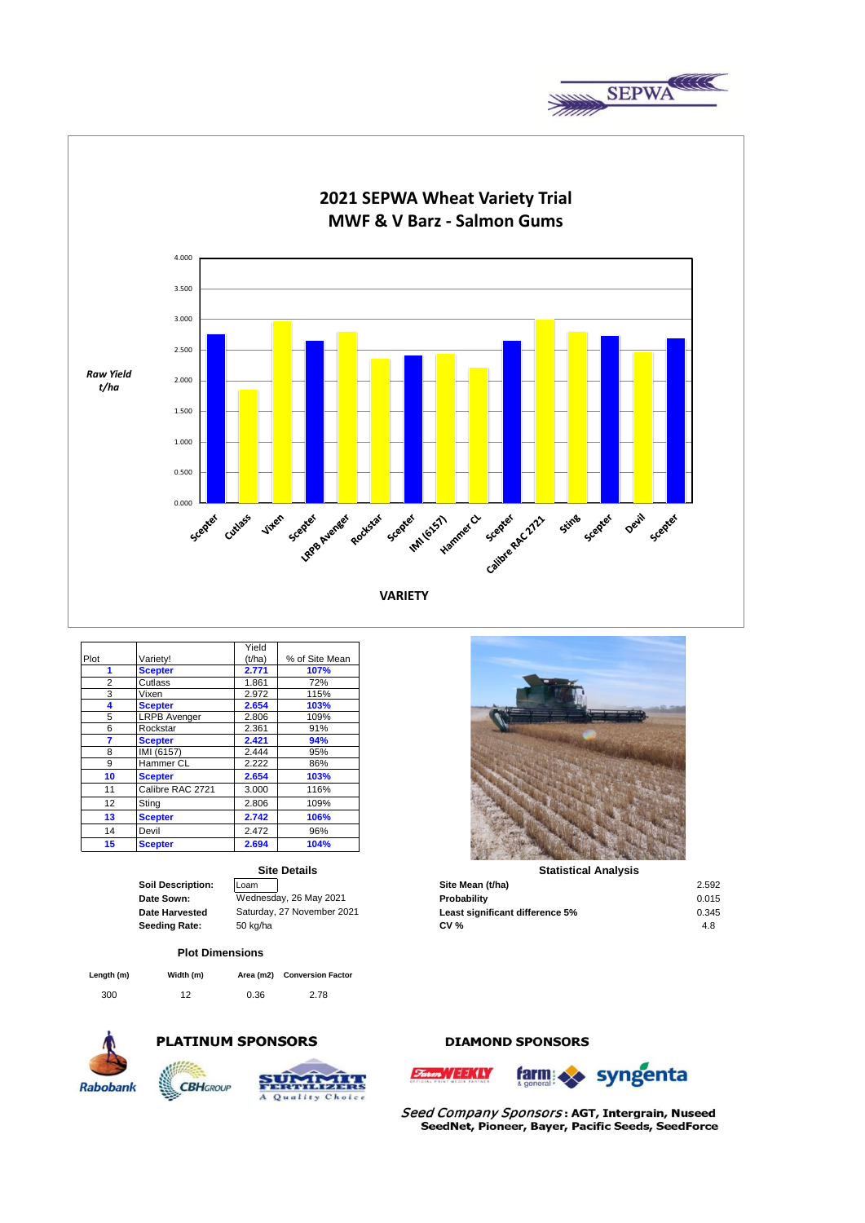



|      |                     | Yield  |                |
|------|---------------------|--------|----------------|
| Plot | Variety!            | (t/ha) | % of Site Mean |
| 1    | <b>Scepter</b>      | 2.771  | 107%           |
| 2    | Cutlass             | 1.861  | 72%            |
| 3    | Vixen               | 2.972  | 115%           |
| 4    | <b>Scepter</b>      | 2.654  | 103%           |
| 5    | <b>LRPB Avenger</b> | 2.806  | 109%           |
| 6    | Rockstar            | 2.361  | 91%            |
| 7    | <b>Scepter</b>      | 2.421  | 94%            |
| 8    | IMI (6157)          | 2.444  | 95%            |
| 9    | Hammer CL           | 2.222  | 86%            |
| 10   | <b>Scepter</b>      | 2.654  | 103%           |
| 11   | Calibre RAC 2721    | 3.000  | 116%           |
| 12   | Sting               | 2.806  | 109%           |
| 13   | <b>Scepter</b>      | 2.742  | 106%           |
| 14   | Devil               | 2.472  | 96%            |
| 15   | <b>Scepter</b>      | 2.694  | 104%           |

| Soil Description:     |
|-----------------------|
| <b>Date Sown:</b>     |
| <b>Date Harvested</b> |
| `eading Rate          |

**Site Details**

#### **Plot Dimensions**

300 12 0.36 2.78 **Conversion Factor Length (m) Width (m) Area (m2)** 



## **PLATINUM SPONSORS**





| <b>Soil Description:</b> | Loam                       | Site Mean (t/ha)                | 2.592 |
|--------------------------|----------------------------|---------------------------------|-------|
| Date Sown:               | Wednesday, 26 May 2021     | Probability                     | 0.015 |
| Date Harvested           | Saturday, 27 November 2021 | Least significant difference 5% | 0.345 |
| Seeding Rate:            | 50 kg/ha                   | <b>CV %</b>                     | 4.8   |

## **DIAMOND SPONSORS**



farm syngenta

Seed Company Sponsors: AGT, Intergrain, Nuseed SeedNet, Pioneer, Bayer, Pacific Seeds, SeedForce